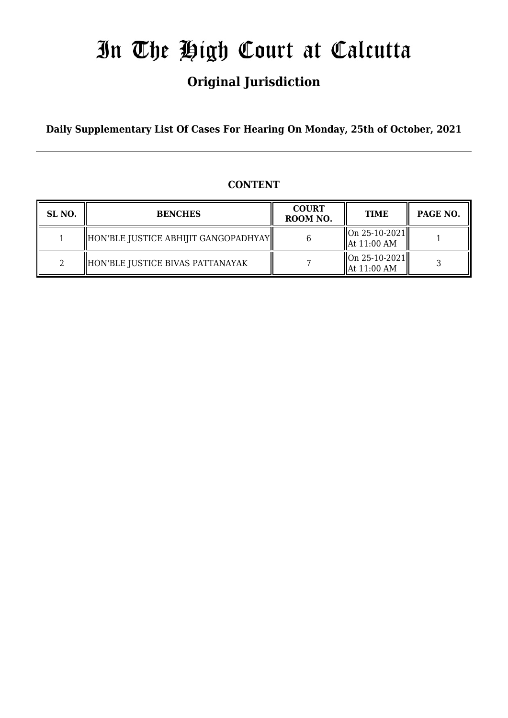# In The High Court at Calcutta

# **Original Jurisdiction**

**Daily Supplementary List Of Cases For Hearing On Monday, 25th of October, 2021**

## **CONTENT**

| SL <sub>NO</sub> . | <b>BENCHES</b>                       | <b>COURT</b><br>ROOM NO. | <b>TIME</b>                                                   | PAGE NO. |
|--------------------|--------------------------------------|--------------------------|---------------------------------------------------------------|----------|
|                    | HON'BLE JUSTICE ABHIJIT GANGOPADHYAY |                          | On 25-10-2021  <br>  At 11:00 AM                              |          |
|                    | HON'BLE JUSTICE BIVAS PATTANAYAK     |                          | $\left\Vert 0n \right. 25-10-2021 \right\Vert$<br>At 11:00 AM |          |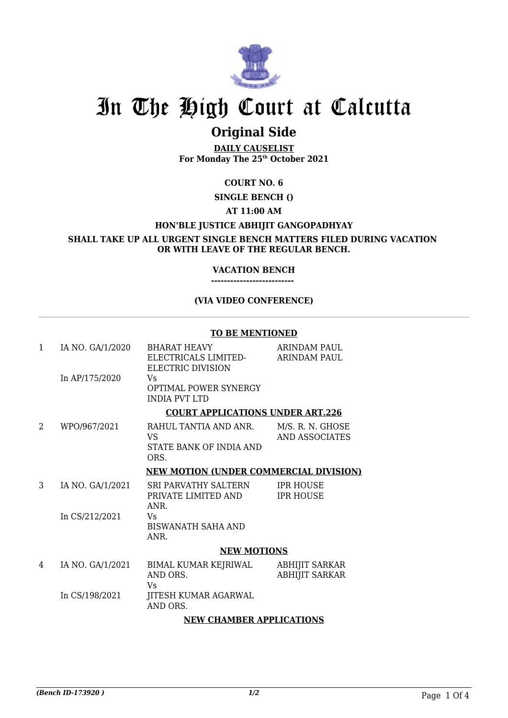

# In The High Court at Calcutta

# **Original Side**

**DAILY CAUSELIST For Monday The 25th October 2021**

## **COURT NO. 6**

**SINGLE BENCH ()**

### **AT 11:00 AM**

## **HON'BLE JUSTICE ABHIJIT GANGOPADHYAY**

**SHALL TAKE UP ALL URGENT SINGLE BENCH MATTERS FILED DURING VACATION OR WITH LEAVE OF THE REGULAR BENCH.**

### **VACATION BENCH**

**--------------------------** 

#### **(VIA VIDEO CONFERENCE)**

#### **TO BE MENTIONED**

| $\mathbf{1}$ | IA NO. GA/1/2020                        | <b>BHARAT HEAVY</b><br>ELECTRICALS LIMITED-<br>ELECTRIC DIVISION | <b>ARINDAM PAUL</b><br><b>ARINDAM PAUL</b>     |  |
|--------------|-----------------------------------------|------------------------------------------------------------------|------------------------------------------------|--|
|              | In AP/175/2020                          | Vs.<br><b>OPTIMAL POWER SYNERGY</b><br><b>INDIA PVT LTD</b>      |                                                |  |
|              | <b>COURT APPLICATIONS UNDER ART.226</b> |                                                                  |                                                |  |
| 2            | WPO/967/2021                            | RAHUL TANTIA AND ANR.<br>VS.<br>STATE BANK OF INDIA AND<br>ORS.  | M/S. R. N. GHOSE<br><b>AND ASSOCIATES</b>      |  |
|              |                                         | <b>NEW MOTION (UNDER COMMERCIAL DIVISION)</b>                    |                                                |  |
| 3            | IA NO. GA/1/2021                        | SRI PARVATHY SALTERN<br>PRIVATE LIMITED AND<br>ANR.              | <b>IPR HOUSE</b><br><b>IPR HOUSE</b>           |  |
|              | In CS/212/2021                          | Vs.<br><b>BISWANATH SAHA AND</b><br>ANR.                         |                                                |  |
|              |                                         | <b>NEW MOTIONS</b>                                               |                                                |  |
| 4            | IA NO. GA/1/2021                        | BIMAL KUMAR KEJRIWAL<br>AND ORS.<br>Vs                           | <b>ABHIJIT SARKAR</b><br><b>ABHIJIT SARKAR</b> |  |
|              | In CS/198/2021                          | JITESH KUMAR AGARWAL<br>AND ORS.                                 |                                                |  |
|              |                                         |                                                                  |                                                |  |

#### **NEW CHAMBER APPLICATIONS**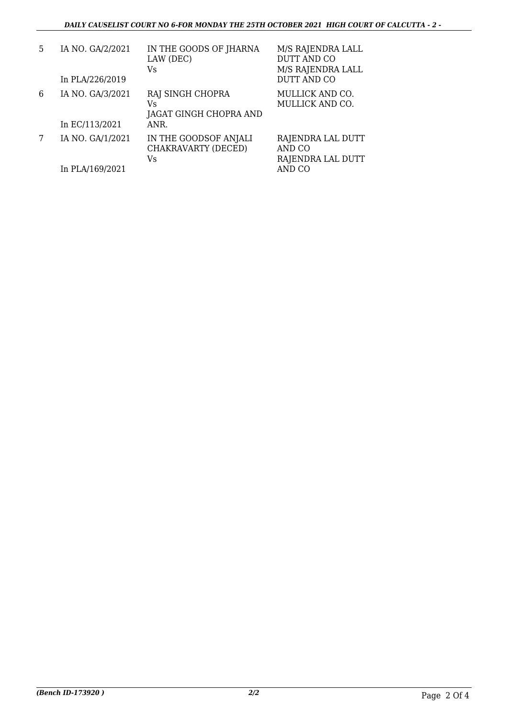| 5 | IA NO. GA/2/2021<br>In PLA/226/2019 | IN THE GOODS OF JHARNA<br>LAW (DEC)<br>Vs.               | M/S RAJENDRA LALL<br>DUTT AND CO<br>M/S RAJENDRA LALL<br>DUTT AND CO |
|---|-------------------------------------|----------------------------------------------------------|----------------------------------------------------------------------|
| 6 | IA NO. GA/3/2021<br>In EC/113/2021  | RAJ SINGH CHOPRA<br>Vs<br>JAGAT GINGH CHOPRA AND<br>ANR. | MULLICK AND CO.<br>MULLICK AND CO.                                   |
|   | IA NO. GA/1/2021<br>In PLA/169/2021 | IN THE GOODSOF ANJALI<br>CHAKRAVARTY (DECED)<br>Vs       | RAJENDRA LAL DUTT<br>AND CO<br>RAJENDRA LAL DUTT<br>AND CO           |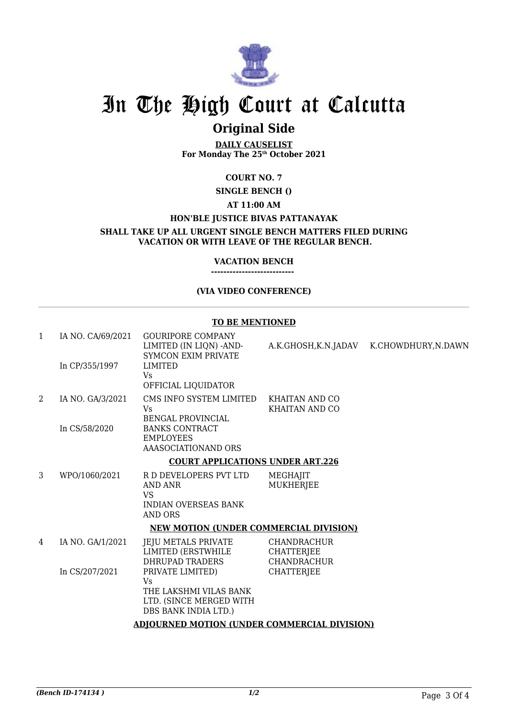

# In The High Court at Calcutta

# **Original Side**

**DAILY CAUSELIST For Monday The 25th October 2021**

## **COURT NO. 7**

#### **SINGLE BENCH ()**

#### **AT 11:00 AM**

#### **HON'BLE JUSTICE BIVAS PATTANAYAK**

**SHALL TAKE UP ALL URGENT SINGLE BENCH MATTERS FILED DURING VACATION OR WITH LEAVE OF THE REGULAR BENCH.**

#### **VACATION BENCH ---------------------------**

#### **(VIA VIDEO CONFERENCE)**

#### **TO BE MENTIONED**

| $\mathbf{1}$ | IA NO. CA/69/2021<br>In CP/355/1997                 | <b>GOURIPORE COMPANY</b><br>LIMITED (IN LIQN) -AND-<br><b>SYMCON EXIM PRIVATE</b><br><b>LIMITED</b> |                                                               | A.K.GHOSH, K.N.JADAV K.CHOWDHURY, N.DAWN |  |  |
|--------------|-----------------------------------------------------|-----------------------------------------------------------------------------------------------------|---------------------------------------------------------------|------------------------------------------|--|--|
|              |                                                     | <b>Vs</b><br>OFFICIAL LIQUIDATOR                                                                    |                                                               |                                          |  |  |
| 2            | IA NO. GA/3/2021                                    | CMS INFO SYSTEM LIMITED<br>Vs.<br><b>BENGAL PROVINCIAL</b>                                          | KHAITAN AND CO<br><b>KHAITAN AND CO</b>                       |                                          |  |  |
|              | In CS/58/2020                                       | <b>BANKS CONTRACT</b><br><b>EMPLOYEES</b><br>AAASOCIATIONAND ORS                                    |                                                               |                                          |  |  |
|              |                                                     | <b>COURT APPLICATIONS UNDER ART.226</b>                                                             |                                                               |                                          |  |  |
| 3            | WPO/1060/2021                                       | R D DEVELOPERS PVT LTD<br>AND ANR<br><b>VS</b><br><b>INDIAN OVERSEAS BANK</b><br>AND ORS            | MEGHAJIT<br><b>MUKHERJEE</b>                                  |                                          |  |  |
|              | <b>NEW MOTION (UNDER COMMERCIAL DIVISION)</b>       |                                                                                                     |                                                               |                                          |  |  |
| 4            | IA NO. GA/1/2021                                    | JEJU METALS PRIVATE<br>LIMITED (ERSTWHILE<br>DHRUPAD TRADERS                                        | <b>CHANDRACHUR</b><br><b>CHATTERIEE</b><br><b>CHANDRACHUR</b> |                                          |  |  |
|              | In CS/207/2021                                      | PRIVATE LIMITED)<br>Vs<br>THE LAKSHMI VILAS BANK<br>LTD. (SINCE MERGED WITH<br>DBS BANK INDIA LTD.) | <b>CHATTERJEE</b>                                             |                                          |  |  |
|              | <b>ADJOURNED MOTION (UNDER COMMERCIAL DIVISION)</b> |                                                                                                     |                                                               |                                          |  |  |
|              |                                                     |                                                                                                     |                                                               |                                          |  |  |